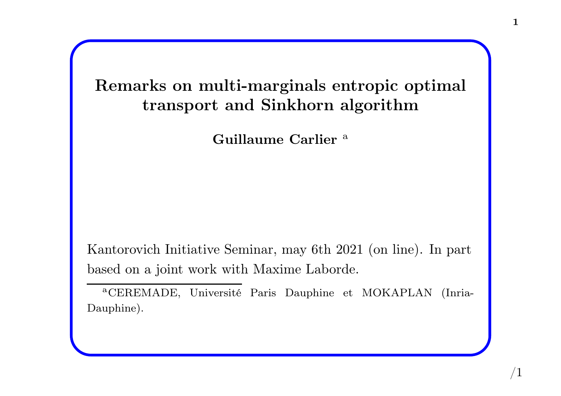Remarks on multi-marginals entropic optimal transport and Sinkhorn algorithm

Guillaume Carlier<sup>a</sup>

Kantorovich Initiative Seminar, may 6th <sup>2021</sup> (on line). In part based on <sup>a</sup> joint work with Maxime Laborde.

<sup>a</sup>CEREMADE, Université Paris Dauphine et MOKAPLAN (Inria-Dauphine).

 $/1\,$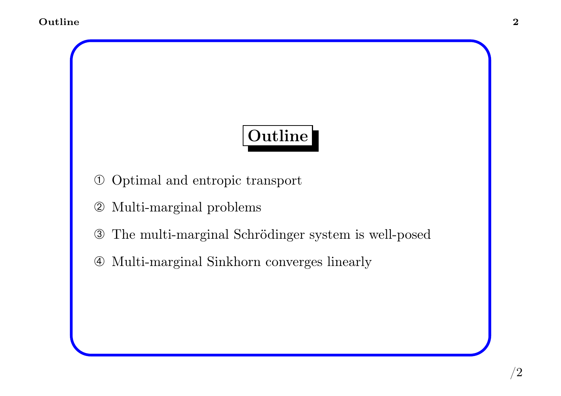# Outline

- ➀ Optimal and entropic transport
- ➁ Multi-marginal problems
- ➂ The multi-marginal Schrödinger system is well-posed
- ➃ Multi-marginal Sinkhorn converges linearly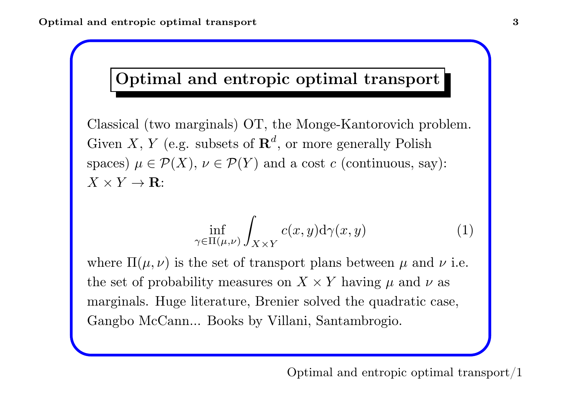# Optimal and entropic optimal transport

Classical (two marginals) OT, the Monge-Kantorovich problem. Given X, Y (e.g. subsets of  $\mathbf{R}^{d}$ , or more generally Polish spaces)  $\mu \in \mathcal{P}(X)$ ,  $\nu \in \mathcal{P}(Y)$  and a cost c (continuous, say):  $X \times Y \to \mathbf{R}$ :

$$
\inf_{\gamma \in \Pi(\mu,\nu)} \int_{X \times Y} c(x,y) \mathrm{d}\gamma(x,y) \tag{1}
$$

where  $\Pi(\mu, \nu)$  is the set of transport plans between  $\mu$  and  $\nu$  i.e. the set of probability measures on  $X \times Y$  having  $\mu$  and  $\nu$  as marginals. Huge literature, Brenier solved the quadratic case, Gangbo McCann... Books by Villani, Santambrogio.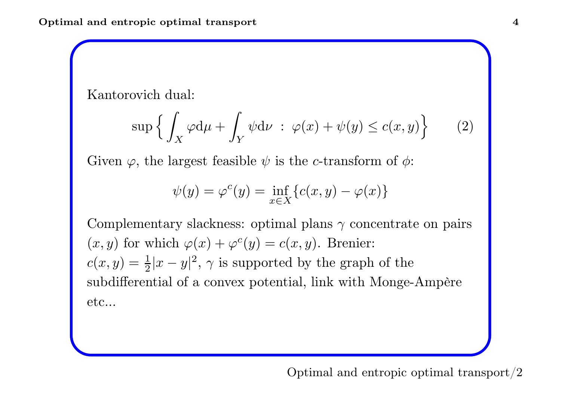Kantorovich dual:

$$
\sup \left\{ \int_X \varphi \mathrm{d}\mu + \int_Y \psi \mathrm{d}\nu \; : \; \varphi(x) + \psi(y) \le c(x, y) \right\} \tag{2}
$$

Given  $\varphi$ , the largest feasible  $\psi$  is the c-transform of  $\phi$ :

$$
\psi(y) = \varphi^{c}(y) = \inf_{x \in X} \{c(x, y) - \varphi(x)\}
$$

Complementary slackness: optimal plans  $\gamma$  concentrate on pairs  $(x, y)$  for which  $\varphi(x) + \varphi^c(y) = c(x, y)$ . Brenier:  $c(x,y)=\frac{1}{2}$  $\frac{1}{2}|x-y|^2$ ,  $\gamma$  is supported by the graph of the subdifferential of <sup>a</sup> convex potential, link with Monge-Ampère etc...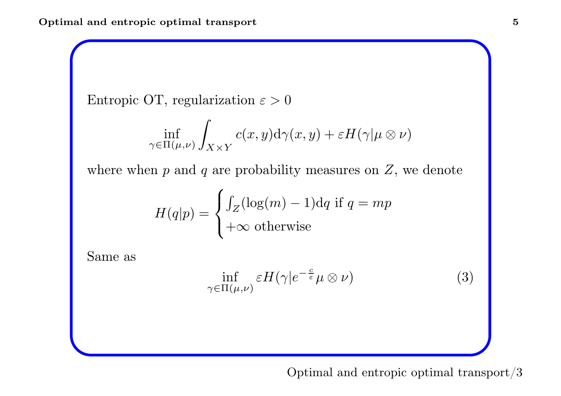Entropic OT, regularization  $\varepsilon > 0$ 

$$
\inf_{\gamma \in \Pi(\mu,\nu)} \int_{X \times Y} c(x,y) \mathrm{d} \gamma(x,y) + \varepsilon H(\gamma | \mu \otimes \nu)
$$

where when  $p$  and  $q$  are probability measures on  $Z$ , we denote

$$
H(q|p) = \begin{cases} \int_Z (\log(m) - 1) dq & \text{if } q = mp \\ +\infty & \text{otherwise} \end{cases}
$$

Same as

$$
\inf_{\gamma \in \Pi(\mu,\nu)} \varepsilon H(\gamma | e^{-\frac{c}{\varepsilon}} \mu \otimes \nu) \tag{3}
$$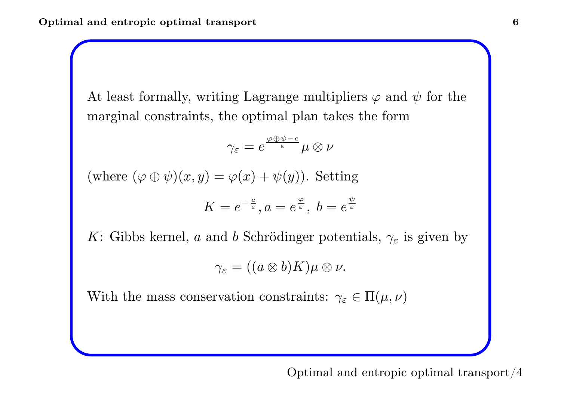At least formally, writing Lagrange multipliers  $\varphi$  and  $\psi$  for the marginal constraints, the optimal <sup>p</sup>lan takes the form

$$
\gamma_\varepsilon=e^{\frac{\varphi\oplus\psi-c}{\varepsilon}}\mu\otimes\nu
$$

 $(\text{where } (\varphi \oplus \psi)(x, y) = \varphi(x) + \psi(y)).$  Setting

$$
K = e^{-\frac{c}{\varepsilon}}, a = e^{\frac{\varphi}{\varepsilon}}, \ b = e^{\frac{\psi}{\varepsilon}}
$$

K: Gibbs kernel, a and b Schrödinger potentials,  $\gamma_{\varepsilon}$  is given by

$$
\gamma_{\varepsilon}=((a\otimes b)K)\mu\otimes\nu.
$$

With the mass conservation constraints:  $\gamma_{\varepsilon} \in \Pi(\mu, \nu)$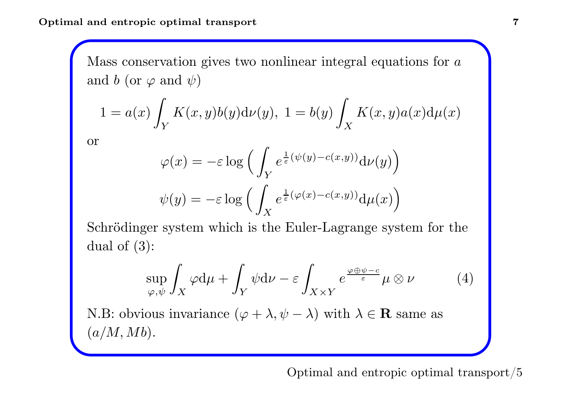Optimal and entropic optimal transport

Mass conservation gives two nonlinear integral equations for  $a$ and  $b$  (or  $\varphi$  and  $\psi)$ 

$$
1 = a(x) \int_Y K(x, y) b(y) \mathrm{d}\nu(y), \ 1 = b(y) \int_X K(x, y) a(x) \mathrm{d}\mu(x)
$$

or

$$
\varphi(x) = -\varepsilon \log \Big( \int_Y e^{\frac{1}{\varepsilon}(\psi(y) - c(x, y))} d\nu(y) \Big)
$$

$$
\psi(y) = -\varepsilon \log \Big( \int_X e^{\frac{1}{\varepsilon}(\varphi(x) - c(x, y))} d\mu(x) \Big)
$$

Schrödinger system which is the Euler-Lagrange system for the dual of (3):

$$
\sup_{\varphi,\psi} \int_X \varphi \, \mathrm{d}\mu + \int_Y \psi \, \mathrm{d}\nu - \varepsilon \int_{X \times Y} e^{\frac{\varphi \oplus \psi - c}{\varepsilon}} \mu \otimes \nu \tag{4}
$$

N.B: obvious invariance  $(\varphi + \lambda, \psi - \lambda)$  with  $\lambda \in \mathbf{R}$  same as  $(a/M, Mb).$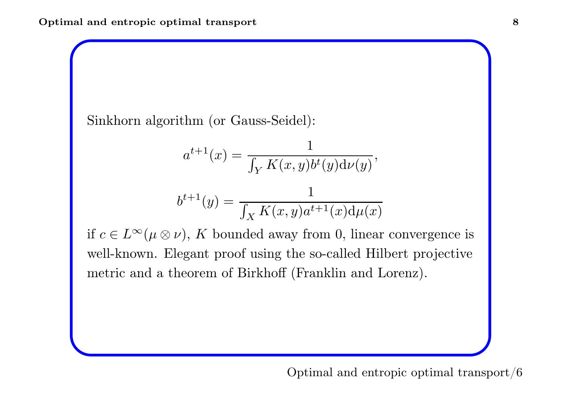Sinkhorn algorithm (or Gauss-Seidel):

$$
a^{t+1}(x) = \frac{1}{\int_Y K(x, y)b^t(y)d\nu(y)},
$$
  

$$
b^{t+1}(y) = \frac{1}{\int_X K(x, y)a^{t+1}(x)d\mu(x)}
$$

if  $c \in L^{\infty}$  $(\mu \otimes \nu)$ , K bounded away from 0, linear convergence is well-known. Elegant proof using the so-called Hilbert projective metric and <sup>a</sup> theorem of Birkhoff (Franklin and Lorenz).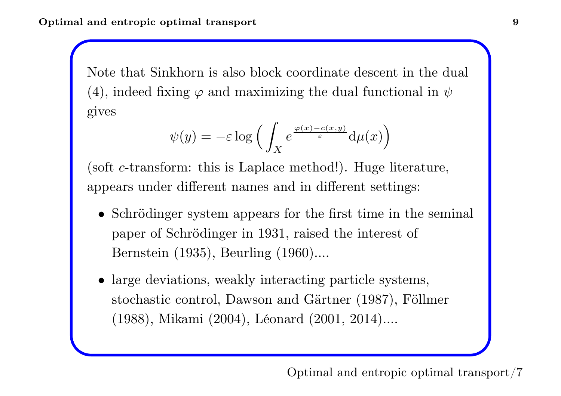Note that Sinkhorn is also block coordinate descent in the dual (4), indeed fixing  $\varphi$  and maximizing the dual functional in  $\psi$ gives

$$
\psi(y) = -\varepsilon \log \Big( \int_X e^{\frac{\varphi(x) - c(x, y)}{\varepsilon}} \mathrm{d}\mu(x) \Big)
$$

(soft <sup>c</sup>-transform: this is Laplace method!). Huge literature, appears under different names and in different settings:

- Schrödinger system appears for the first time in the seminal paper of Schrödinger in 1931, raised the interest of Bernstein (1935), Beurling (1960)....
- large deviations, weakly interacting particle systems, stochastic control, Dawson and Gärtner (1987), Föllmer (1988), Mikami (2004), Léonard (2001, 2014)....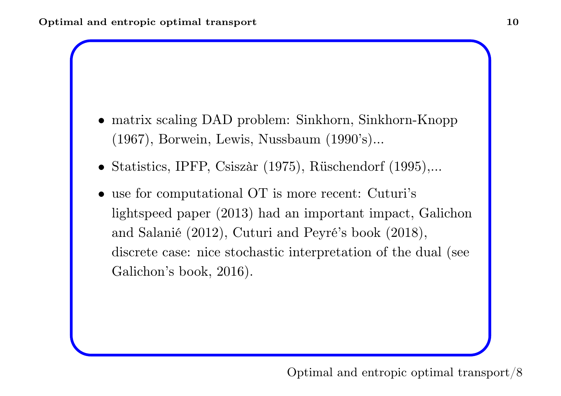- matrix scaling DAD problem: Sinkhorn, Sinkhorn-Knopp (1967), Borwein, Lewis, Nussbaum (1990's)...
- Statistics, IPFP, Csiszàr (1975), Rüschendorf (1995),...
- use for computational OT is more recent: Cuturi's lightspeed paper (2013) had an important impact, Galichon and Salanié (2012), Cuturi and Peyré's book (2018), discrete case: nice stochastic interpretation of the dual (see Galichon's book, 2016).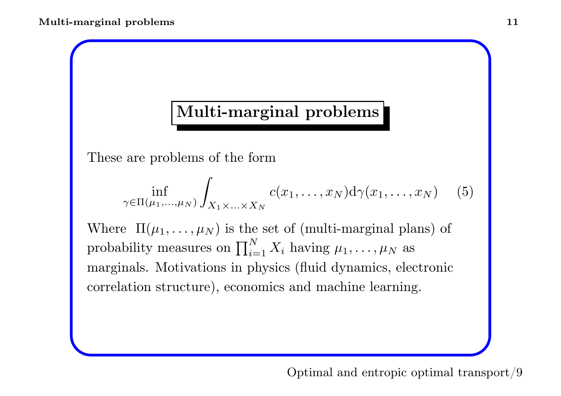# Multi-marginal problems

These are problems of the form

$$
\inf_{\gamma \in \Pi(\mu_1, \dots, \mu_N)} \int_{X_1 \times \dots \times X_N} c(x_1, \dots, x_N) d\gamma(x_1, \dots, x_N) \quad (5)
$$

Where  $\Pi(\mu_1,\ldots,\mu_N)$  is the set of (multi-marginal plans) of probability measures on  $\prod_{i=1}^N X_i$  having  $\mu_1, \ldots, \mu_N$  as marginals. Motivations in <sup>p</sup>hysics (fluid dynamics, electronic correlation structure), economics and machine learning.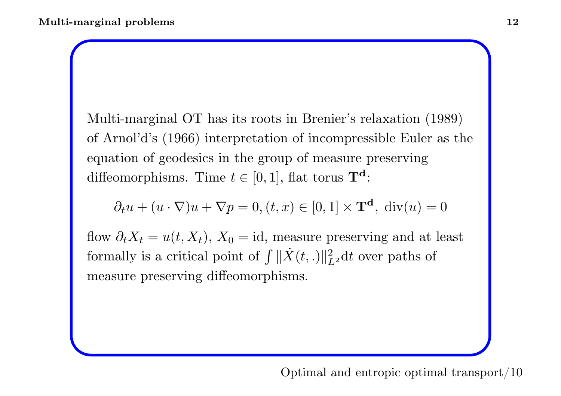Multi-marginal OT has its roots in Brenier's relaxation (1989) of Arnol'd's (1966) interpretation of incompressible Euler as the equation of geodesics in the group of measure preserving diffeomorphisms. Time  $t \in [0, 1]$ , flat torus  $\mathbf{T}^d$ :

$$
\partial_t u + (u \cdot \nabla)u + \nabla p = 0, (t, x) \in [0, 1] \times \mathbf{T}^d, \text{ div}(u) = 0
$$

flow  $\partial_t X_t = u(t, X_t)$ ,  $X_0 = id$ , measure preserving and at least formally is a critical point of  $\int ||\dot{X}(t,.)||_{L^2}^2 dt$  over paths of measure preserving diffeomorphisms.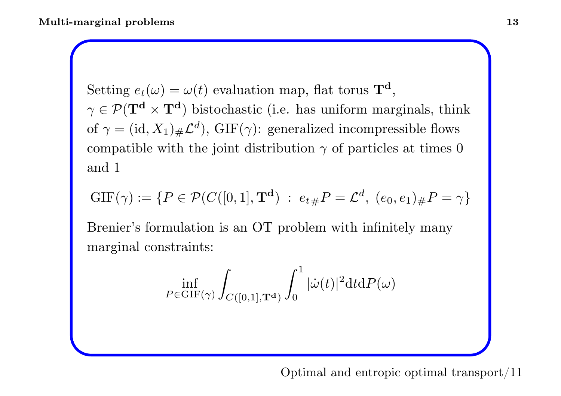Setting  $e_t(\omega) = \omega(t)$  evaluation map, flat torus  $\mathbf{T}^d$ ,  $\gamma \in \mathcal{P}(\mathbf{T}^d \times \mathbf{T}^d)$  bistochastic (i.e. has uniform marginals, think of  $\gamma = (id, X_1)_\# \mathcal{L}^d$ , GIF( $\gamma$ ): generalized incompressible flows compatible with the joint distribution  $\gamma$  of particles at times 0 and 1

$$
GIF(\gamma) := \{ P \in \mathcal{P}(C([0,1], \mathbf{T}^d) : e_{t\#} P = \mathcal{L}^d, (e_0, e_1)_{\#} P = \gamma \}
$$

Brenier's formulation is an OT problem with infinitely many marginal constraints:

$$
\inf_{P\in \textnormal{GIF}(\gamma)} \int_{C([0,1],\mathbf{T}^{\mathbf{d}})} \int_0^1 |\dot{\omega}(t)|^2 \mathrm{d} t \mathrm{d} P(\omega)
$$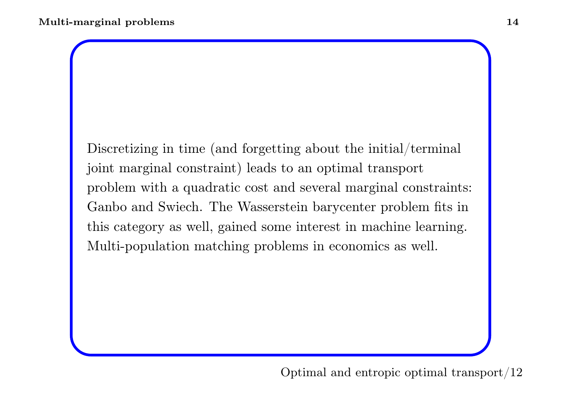Discretizing in time (and forgetting about the initial/terminal joint marginal constraint) leads to an optimal transport problem with <sup>a</sup> quadratic cost and several marginal constraints: Ganbo and Swiech. The Wasserstein barycenter problem fits in this category as well, gained some interest in machine learning. Multi-population matching problems in economics as well.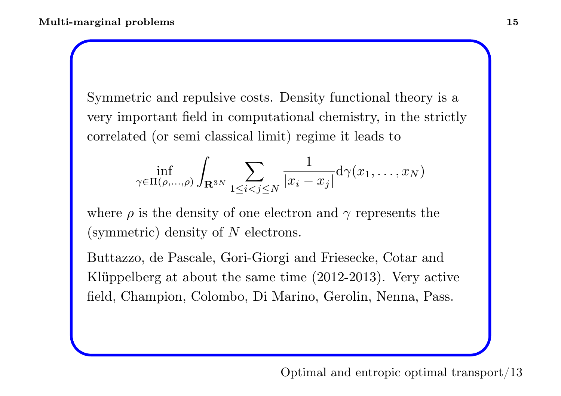Symmetric and repulsive costs. Density functional theory is <sup>a</sup> very important field in computational chemistry, in the strictly correlated (or semi classical limit) regime it leads to

$$
\inf_{\gamma \in \Pi(\rho,\ldots,\rho)} \int_{\mathbf{R}^{3N}} \sum_{1 \leq i < j \leq N} \frac{1}{|x_i - x_j|} \mathrm{d} \gamma(x_1,\ldots,x_N)
$$

where  $\rho$  is the density of one electron and  $\gamma$  represents the (symmetric) density of  $N$  electrons.

Buttazzo, de Pascale, Gori-Giorgi and Friesecke, Cotar and Klüppelberg at about the same time (2012-2013). Very active field, Champion, Colombo, Di Marino, Gerolin, Nenna, Pass.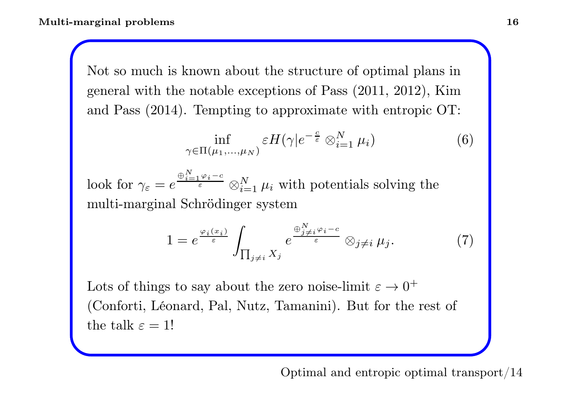Not so much is known about the structure of optimal plans in genera<sup>l</sup> with the notable exceptions of Pass (2011, 2012), Kim and Pass (2014). Tempting to approximate with entropic OT:

$$
\inf_{\gamma \in \Pi(\mu_1, \dots, \mu_N)} \varepsilon H(\gamma | e^{-\frac{c}{\varepsilon}} \otimes_{i=1}^N \mu_i)
$$
 (6)

look for  $\gamma_{\varepsilon} = e$  $\oplus_{i=1}^N$   $\varphi_i$  –  $c$  $\frac{N}{\varepsilon} \otimes_{i=1}^N \mu_i$  with potentials solving the multi-marginal Schrödinger system

$$
1 = e^{\frac{\varphi_i(x_i)}{\varepsilon}} \int_{\prod_{j \neq i} X_j} e^{\frac{\oplus_{j \neq i}^N \varphi_i - c}{\varepsilon}} \otimes_{j \neq i} \mu_j.
$$
 (7)

Lots of things to say about the zero noise-limit  $\varepsilon \to 0^+$ (Conforti, Léonard, Pal, Nutz, Tamanini). But for the rest of the talk  $\varepsilon = 1!$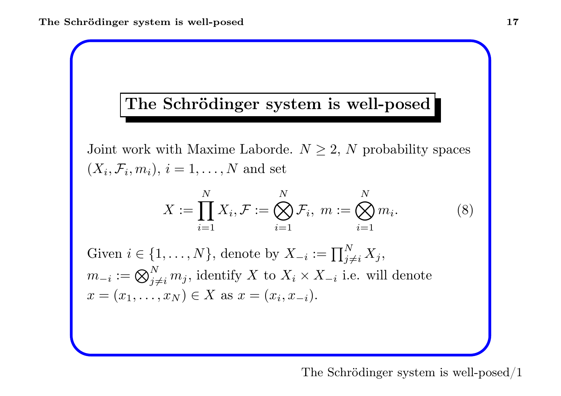### The Schrödinger system is well-posed

Joint work with Maxime Laborde.  $N \geq 2$ , N probability spaces  $(X_i, \mathcal{F}_i, m_i), i = 1, \ldots, N$  and set

$$
X := \prod_{i=1}^{N} X_i, \mathcal{F} := \bigotimes_{i=1}^{N} \mathcal{F}_i, \ m := \bigotimes_{i=1}^{N} m_i.
$$
 (8)

Given  $i \in \{1, ..., N\}$ , denote by  $X_{-i} := \prod$ N  $\prod\limits_{j \neq i}^N X_j,$  $m_{-i}:=\bigotimes$ N  $\sum_{j\neq i}^N m_j$ , identify X to  $X_i \times X_{-i}$  i.e. will denote  $x = (x_1, \ldots, x_N) \in X$  as  $x = (x_i, x_{-i}).$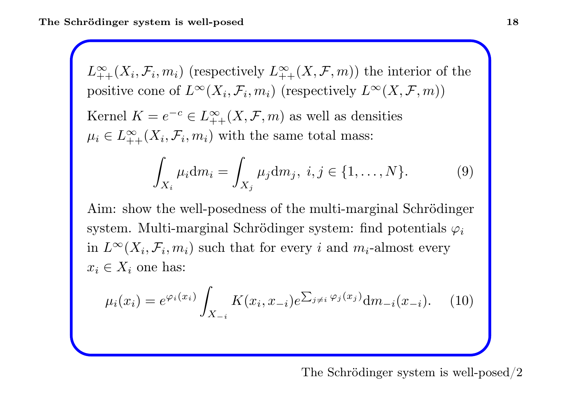$L^{\infty}_{\perp}$  $\sum_{i=1}^{\infty} (X_i, \mathcal{F}_i, m_i)$  (respectively  $L^{\infty}_{+}$ )  $\sum_{n=1}^{\infty} (X, \mathcal{F}, m)$  the interior of the positive cone of  $L^{\infty}$  $(X_i, \mathcal{F}_i, m_i)$  (respectively  $L^{\infty}$  $(X, \mathcal{F}, m))$ Kernel  $K = e$  $-c \in L^{\infty}_+$  $\sum_{n=1}^{\infty} (X, \mathcal{F}, m)$  as well as densities  $\mu_i \in L_+^{\infty}$  $\sum_{i=1}^{\infty} (X_i, \mathcal{F}_i, m_i)$  with the same total mass:

$$
\int_{X_i} \mu_i \mathrm{d}m_i = \int_{X_j} \mu_j \mathrm{d}m_j, \ i, j \in \{1, ..., N\}. \tag{9}
$$

Aim: show the well-posedness of the multi-marginal Schrödinger system. Multi-marginal Schrödinger system: find potentials  $\varphi_i$ in  $L^{\infty}$  $(X_i, \mathcal{F}_i, m_i)$  such that for every i and  $m_i$ -almost every  $x_i \in X_i$  one has:

$$
\mu_i(x_i) = e^{\varphi_i(x_i)} \int_{X_{-i}} K(x_i, x_{-i}) e^{\sum_{j \neq i} \varphi_j(x_j)} dm_{-i}(x_{-i}). \tag{10}
$$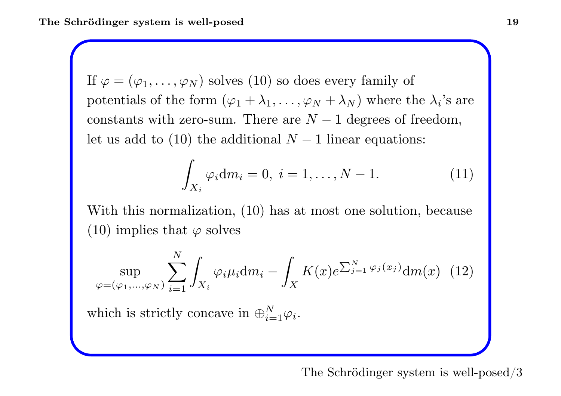If  $\varphi = (\varphi_1, \ldots, \varphi_N)$  solves  $(10)$  so does every family of potentials of the form  $(\varphi_1 + \lambda_1, \ldots, \varphi_N + \lambda_N)$  where the  $\lambda_i$ 's are constants with zero-sum. There are  $N-1$  degrees of freedom, let us add to  $(10)$  the additional  $N-1$  linear equations:

$$
\int_{X_i} \varphi_i dm_i = 0, \ i = 1, \dots, N - 1.
$$
 (11)

With this normalization, (10) has at most one solution, because  $(10)$  implies that  $\varphi$  solves

$$
\sup_{\varphi=(\varphi_1,\ldots,\varphi_N)}\sum_{i=1}^N\int_{X_i}\varphi_i\mu_i\mathrm{d}m_i-\int_X K(x)e^{\sum_{j=1}^N\varphi_j(x_j)}\mathrm{d}m(x)\tag{12}
$$

which is strictly concave in  $\bigoplus_{i=1}^N$  $\vec{i} = 1 \mathcal{Q} \vec{i}$  .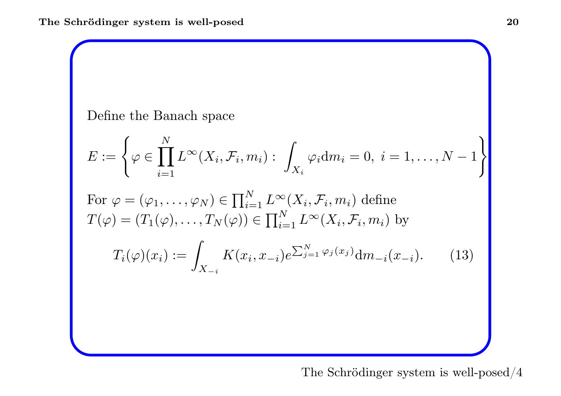Define the Banach space

$$
E := \left\{ \varphi \in \prod_{i=1}^{N} L^{\infty}(X_i, \mathcal{F}_i, m_i) : \int_{X_i} \varphi_i \mathrm{d}m_i = 0, \ i = 1, \dots, N - 1 \right\}
$$

For 
$$
\varphi = (\varphi_1, ..., \varphi_N) \in \prod_{i=1}^N L^\infty(X_i, \mathcal{F}_i, m_i)
$$
 define  
\n
$$
T(\varphi) = (T_1(\varphi), ..., T_N(\varphi)) \in \prod_{i=1}^N L^\infty(X_i, \mathcal{F}_i, m_i)
$$
 by  
\n
$$
T_i(\varphi)(x_i) := \int_{X_{-i}} K(x_i, x_{-i}) e^{\sum_{j=1}^N \varphi_j(x_j)} dm_{-i}(x_{-i}).
$$
 (13)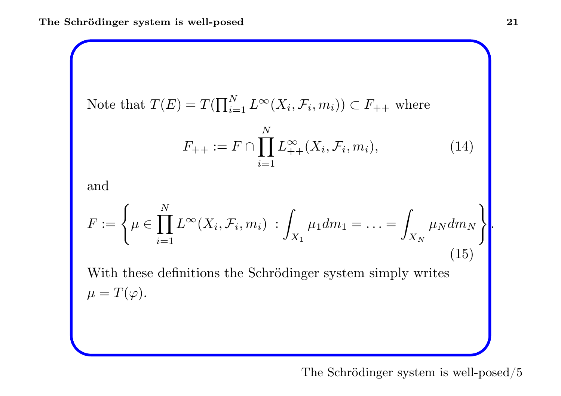Note that 
$$
T(E) = T(\prod_{i=1}^{N} L^{\infty}(X_i, \mathcal{F}_i, m_i)) \subset F_{++}
$$
 where

$$
F_{++} := F \cap \prod_{i=1}^{N} L_{++}^{\infty}(X_i, \mathcal{F}_i, m_i), \tag{14}
$$

and

$$
F := \left\{ \mu \in \prod_{i=1}^{N} L^{\infty}(X_i, \mathcal{F}_i, m_i) : \int_{X_1} \mu_1 dm_1 = \ldots = \int_{X_N} \mu_N dm_N \right\}.
$$
\n(15)

With these definitions the Schrödinger system simply writes  $\mu=T(\varphi).$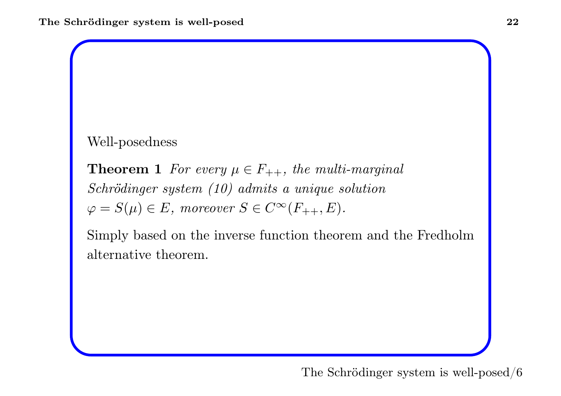#### Well-posedness

**Theorem 1** For every  $\mu \in F_{++}$ , the multi-marginal Schrödinger system (10) admits <sup>a</sup> unique solution  $\varphi = S(\mu) \in E$ , moreover  $S \in C^{\infty}$  $(F_{++}, E)$ .

Simply based on the inverse function theorem and the Fredhol m alternative theorem.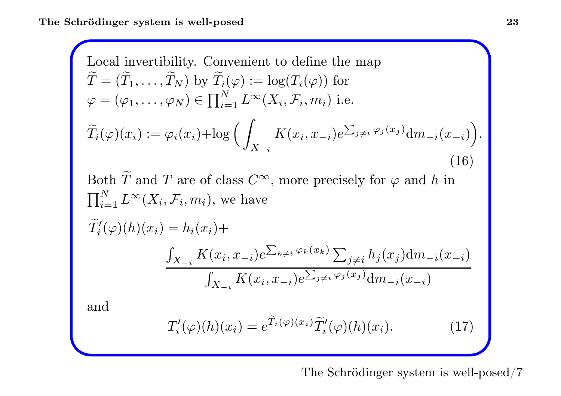Local invertibility. Convention to define the map  
\n
$$
\widetilde{T} = (\widetilde{T}_1, ..., \widetilde{T}_N) \text{ by } \widetilde{T}_i(\varphi) := \log(T_i(\varphi)) \text{ for}
$$
\n
$$
\varphi = (\varphi_1, ..., \varphi_N) \in \prod_{i=1}^N L^\infty(X_i, \mathcal{F}_i, m_i) \text{ i.e.}
$$
\n
$$
\widetilde{T}_i(\varphi)(x_i) := \varphi_i(x_i) + \log \left( \int_{X_{-i}} K(x_i, x_{-i}) e^{\sum_{j \neq i} \varphi_j(x_j)} dm_{-i}(x_{-i}) \right).
$$
\n(16)  
\nBoth  $\widetilde{T}$  and  $T$  are of class  $C^\infty$ , more precisely for  $\varphi$  and  $h$  in  
\n
$$
\prod_{i=1}^N L^\infty(X_i, \mathcal{F}_i, m_i)
$$
, we have  
\n
$$
\widetilde{T}'_i(\varphi)(h)(x_i) = h_i(x_i) + \frac{\int_{X_{-i}} K(x_i, x_{-i}) e^{\sum_{k \neq i} \varphi_k(x_k)} \sum_{j \neq i} h_j(x_j) dm_{-i}(x_{-i})}{\int_{X_{-i}} K(x_i, x_{-i}) e^{\sum_{j \neq i} \varphi_j(x_j)} dm_{-i}(x_{-i})}
$$
\nand

$$
T'_{i}(\varphi)(h)(x_{i}) = e^{\widetilde{T}_{i}(\varphi)(x_{i})}\widetilde{T}'_{i}(\varphi)(h)(x_{i}). \qquad (17)
$$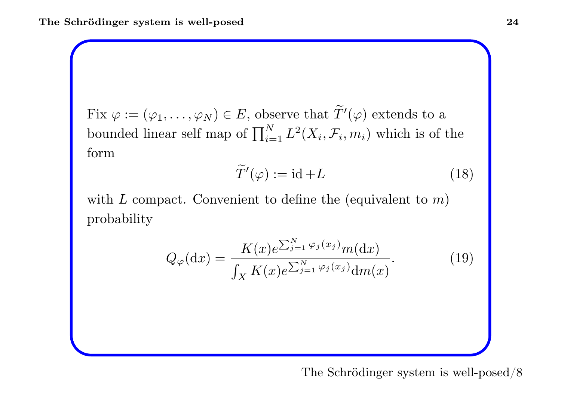$\mathrm{Fix}\ \varphi:=(\varphi_1,\ldots,\varphi_N)\in E, \text{ observe that } \widetilde{T}'(\varphi) \text{ extends to a }$  $\Gamma$ IX  $\varphi$  .  $(\varphi_1, \ldots, \varphi_N) \in E$ , or<br>bounded linear self map of  $\prod$ N  $\sum_{i=1}^N L^2(X_i, \mathcal{F}_i, m_i)$  which is of the form

$$
\widetilde{T}'(\varphi) := \mathrm{id} + L \tag{18}
$$

with  $L$  compact. Convenient to define the (equivalent to  $m$ ) probability

$$
Q_{\varphi}(\mathrm{d}x) = \frac{K(x)e^{\sum_{j=1}^{N} \varphi_j(x_j)}m(\mathrm{d}x)}{\int_X K(x)e^{\sum_{j=1}^{N} \varphi_j(x_j)}\mathrm{d}m(x)}.
$$
(19)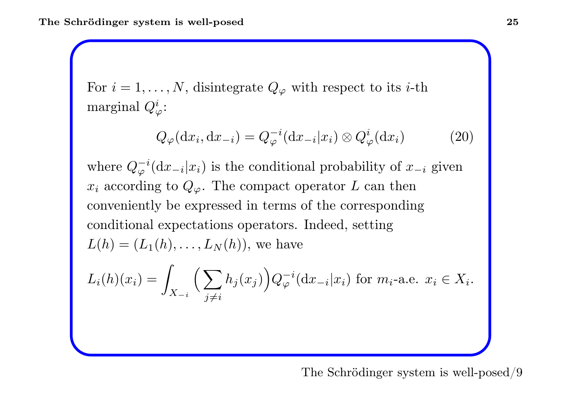For  $i = 1, \ldots, N$ , disintegrate  $Q_{\varphi}$  with respect to its *i*-th  $\operatorname{marginal}~ Q_\varphi^i$ :

$$
Q_{\varphi}(\mathrm{d}x_i, \mathrm{d}x_{-i}) = Q_{\varphi}^{-i}(\mathrm{d}x_{-i}|x_i) \otimes Q_{\varphi}^i(\mathrm{d}x_i)
$$
 (20)

where  $Q_{\varphi}^{-i}$  $\varphi^{-i}(\mathrm{d} x_{-i}|x_i)$  is the conditional probability of  $x_{-i}$  given  $x_i$  according to  $Q_\varphi$ . The compact operator L can then conveniently be expressed in terms of the corresponding conditional expectations operators. Indeed, setting  $L(h) = (L_1(h), \ldots, L_N(h)),$  we have

$$
L_i(h)(x_i) = \int_{X_{-i}} \Big(\sum_{j \neq i} h_j(x_j)\Big) Q_{\varphi}^{-i}(\mathrm{d}x_{-i}|x_i) \text{ for } m_i\text{-a.e. } x_i \in X_i.
$$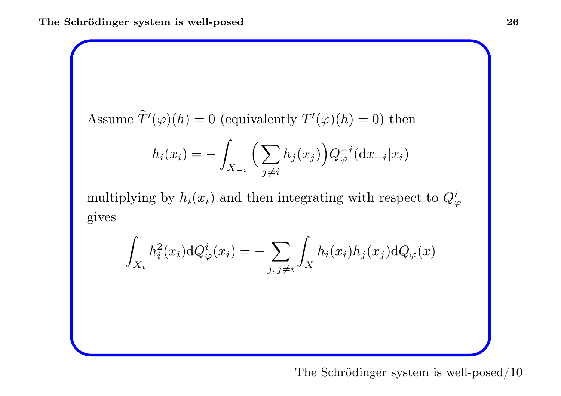Assume 
$$
\widetilde{T}'(\varphi)(h) = 0
$$
 (equivalently  $T'(\varphi)(h) = 0$ ) then

$$
h_i(x_i) = -\int_{X_{-i}} \Big(\sum_{j \neq i} h_j(x_j)\Big) Q_{\varphi}^{-i}(\mathrm{d} x_{-i}|x_i)
$$

multiplying by  $h_i(x_i)$  and then integrating with respect to  $Q^i_\varphi$ gives

$$
\int_{X_i} h_i^2(x_i) \mathrm{d}Q_{\varphi}^i(x_i) = -\sum_{j, j \neq i} \int_X h_i(x_i) h_j(x_j) \mathrm{d}Q_{\varphi}(x)
$$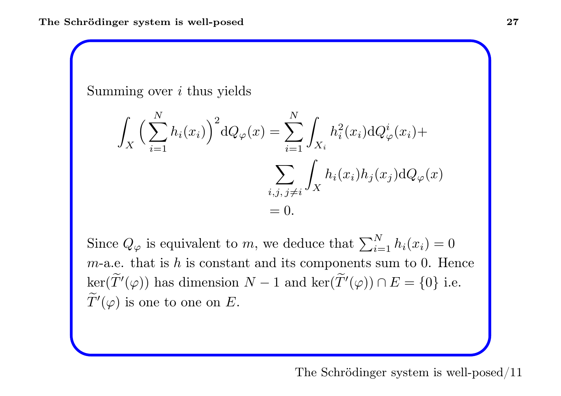Summing over  $i$  thus yields

$$
\int_X \Big(\sum_{i=1}^N h_i(x_i)\Big)^2 dQ_\varphi(x) = \sum_{i=1}^N \int_{X_i} h_i^2(x_i) dQ_\varphi^i(x_i) + \sum_{i,j,j\neq i} \int_X h_i(x_i) h_j(x_j) dQ_\varphi(x) = 0.
$$

Since  $Q_{\varphi}$  is equivalent to m, we deduce that  $\sum$ N  $\sum_{i=1}^n h_i(x_i) = 0$  $m$ -a.e. that is h is constant and its components sum to 0. Hence  $\ker(\widetilde{T}'(\varphi))$  has dimension  $N-1$  and  $\ker(\widetilde{T}'(\varphi)) \cap E = \{0\}$  i.e.  $\widetilde{T}'(\varphi)$  is one to one on  $E.$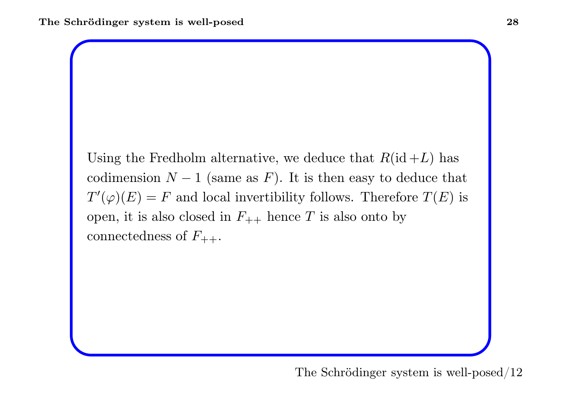Using the Fredholm alternative, we deduce that  $R(\text{id}+L)$  has codimension  $N-1$  (same as F). It is then easy to deduce that  $T'(\varphi)(E) = F$  and local invertibility follows. Therefore  $T(E)$  is open, it is also closed in  $F_{++}$  hence T is also onto by  $\hbox{connectedness of }F_{++}.$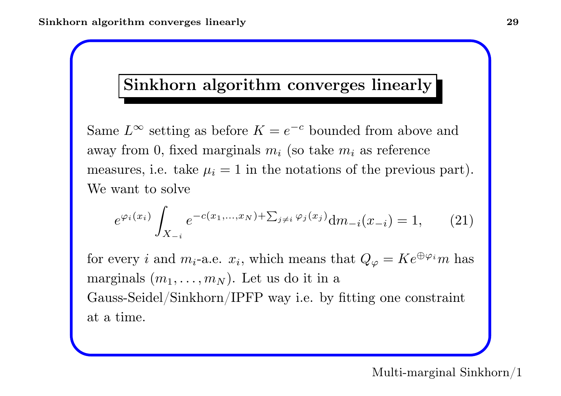### Sinkhorn algorithm converges linearly

Same  $L^{\infty}$  setting as before  $K = e$ − <sup>c</sup> bounded from above and away from 0, fixed marginals  $m_i$  (so take  $m_i$  as reference measures, i.e. take  $\mu_i = 1$  in the notations of the previous part). We want to solve

$$
e^{\varphi_i(x_i)} \int_{X_{-i}} e^{-c(x_1,\dots,x_N) + \sum_{j\neq i} \varphi_j(x_j)} \mathrm{d}m_{-i}(x_{-i}) = 1, \qquad (21)
$$

for every *i* and  $m_i$ -a.e.  $x_i$ , which means that  $Q_\varphi = Ke^{\oplus \varphi_i}m$  has marginals  $(m_1, \ldots, m_N)$ . Let us do it in a Gauss-Seidel/Sinkhorn/IPFP way i.e. by fitting one constraint at <sup>a</sup> time.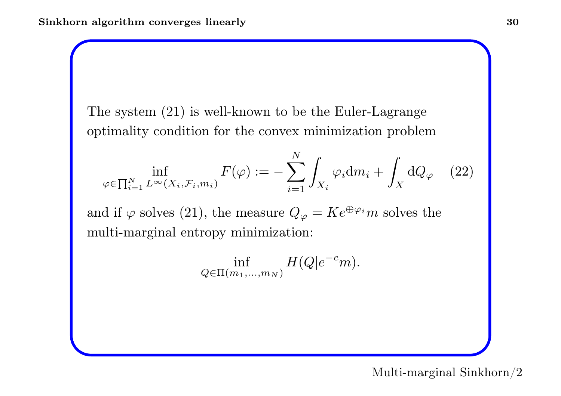The system (21) is well-known to be the Euler-Lagrange optimality condition for the convex minimization problem

$$
\inf_{\varphi \in \prod_{i=1}^N L^\infty(X_i, \mathcal{F}_i, m_i)} F(\varphi) := -\sum_{i=1}^N \int_{X_i} \varphi_i \mathrm{d}m_i + \int_X \mathrm{d}Q_\varphi \quad (22)
$$

and if  $\varphi$  solves (21), the measure  $Q_{\varphi} = K e^{\oplus \varphi_i} m$  solves the multi-marginal entropy minimization:

$$
\inf_{Q \in \Pi(m_1,\ldots,m_N)} H(Q|e^{-c}m).
$$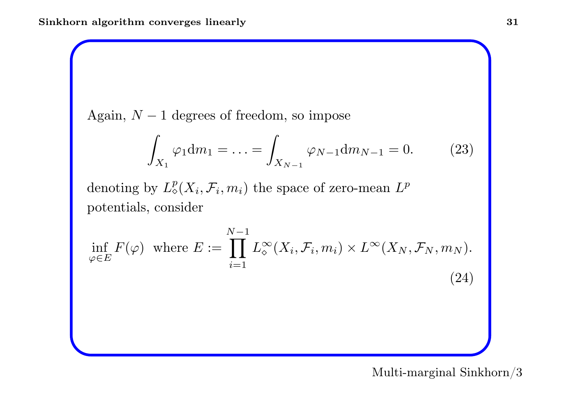Again,  $N-1$  degrees of freedom, so impose

$$
\int_{X_1} \varphi_1 \mathrm{d}m_1 = \dots = \int_{X_{N-1}} \varphi_{N-1} \mathrm{d}m_{N-1} = 0. \tag{23}
$$

denoting by  $L^p_{\diamond}$  $_{\diamond}^p(X_i,\mathcal{F}_i,m_i)$  the space of zero-mean  $L^p$ potentials, consider

$$
\inf_{\varphi \in E} F(\varphi) \text{ where } E := \prod_{i=1}^{N-1} L_{\varphi}^{\infty}(X_i, \mathcal{F}_i, m_i) \times L^{\infty}(X_N, \mathcal{F}_N, m_N).
$$
\n(24)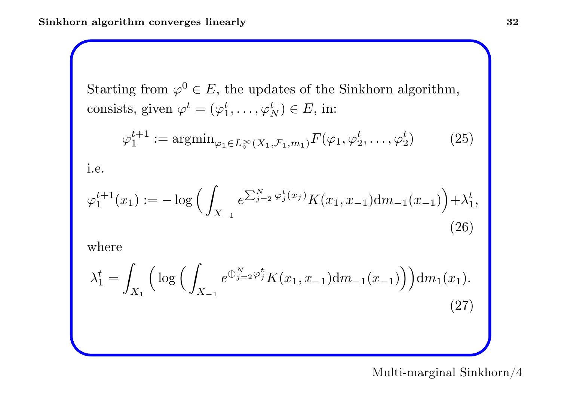Starting from  $\varphi^0 \in E$ , the updates of the Sinkhorn algorithm,  $\text{consists, given }\varphi^t=(\varphi_1^t,\ldots,\varphi_l^t)$  $_{N}^{t})\in E,\,\operatorname{in}$ :

$$
\varphi_1^{t+1} := \operatorname{argmin}_{\varphi_1 \in L^\infty_0(X_1, \mathcal{F}_1, m_1)} F(\varphi_1, \varphi_2^t, \dots, \varphi_2^t)
$$
 (25)

i.e.

$$
\varphi_1^{t+1}(x_1) := -\log\Big(\int_{X_{-1}} e^{\sum_{j=2}^N \varphi_j^t(x_j)} K(x_1, x_{-1}) \mathrm{d}m_{-1}(x_{-1})\Big) + \lambda_1^t,
$$
\n(26)

where

$$
\lambda_1^t = \int_{X_1} \left( \log \left( \int_{X_{-1}} e^{\bigoplus_{j=2}^N \varphi_j^t} K(x_1, x_{-1}) \mathrm{d}m_{-1}(x_{-1}) \right) \right) \mathrm{d}m_1(x_1). \tag{27}
$$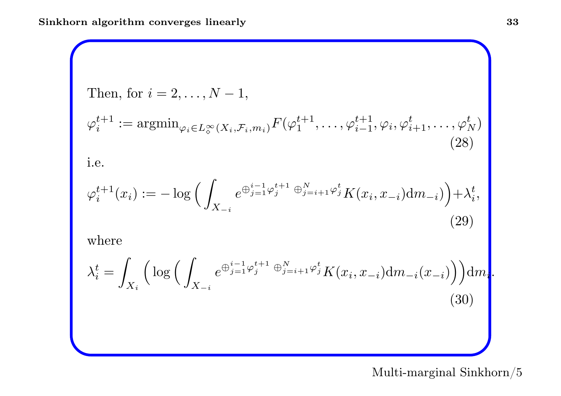Then, for 
$$
i = 2, ..., N - 1
$$
,  
\n
$$
\varphi_i^{t+1} := \operatorname{argmin}_{\varphi_i \in L_\diamond^\infty(X_i, \mathcal{F}_i, m_i)} F(\varphi_1^{t+1}, \dots, \varphi_{i-1}^{t+1}, \varphi_i, \varphi_{i+1}^t, \dots, \varphi_N^t)
$$
\n(28)

i.e.

$$
\varphi_i^{t+1}(x_i) := -\log \Big( \int_{X_{-i}} e^{\bigoplus_{j=1}^{i-1} \varphi_j^{t+1} \bigoplus_{j=i+1}^N \varphi_j^t} K(x_i, x_{-i}) \mathrm{d}m_{-i} \Big) \Big) + \lambda_i^t,
$$
\n(29)

where

$$
\lambda_i^t = \int_{X_i} \left( \log \left( \int_{X_{-i}} e^{\bigoplus_{j=1}^{i-1} \varphi_j^{t+1} \bigoplus_{j=i+1}^N \varphi_j^t} K(x_i, x_{-i}) \mathrm{d}m_{-i}(x_{-i}) \right) \right) \mathrm{d}m_i.
$$
\n(30)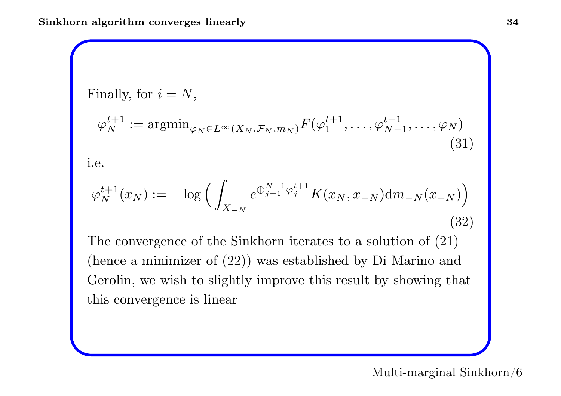Finally, for 
$$
i = N
$$
,  
\n
$$
\varphi_N^{t+1} := \operatorname{argmin}_{\varphi_N \in L^\infty(X_N, \mathcal{F}_N, m_N)} F(\varphi_1^{t+1}, \dots, \varphi_{N-1}^{t+1}, \dots, \varphi_N)
$$
\n(31)

i.e.

$$
\varphi_N^{t+1}(x_N) := -\log\Big(\int_{X_{-N}} e^{\bigoplus_{j=1}^{N-1} \varphi_j^{t+1}} K(x_N, x_{-N}) \mathrm{d}m_{-N}(x_{-N})\Big) \tag{32}
$$

The convergence of the Sinkhorn iterates to a solution of  $(21)$ (hence <sup>a</sup> minimizer of (22)) was established by Di Marino and Gerolin, we wish to slightly improve this result by showing that this convergence is linear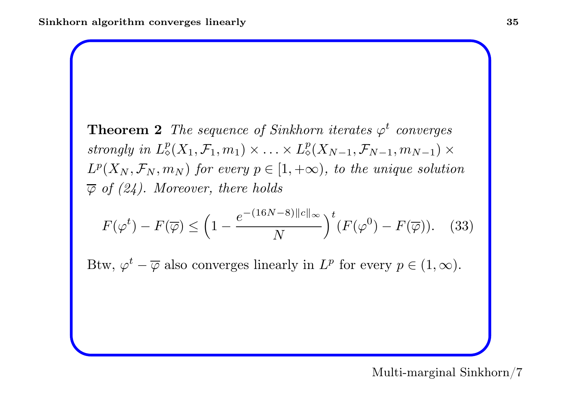**Theorem 2** The sequence of Sinkhorn iterates  $\varphi^t$  converges  $strongly\ in\ L_\diamond^p$  $L^p_\diamond(X_1,\mathcal F_1,m_1)\times\ldots\times L^p_\diamond$  $^p_\diamond(X_{N-1},\mathcal{F}_{N-1},m_{N-1})\times$  $L^p(X_N, \mathcal{F}_N, m_N)$  for every  $p \in [1, +\infty)$ , to the unique solution  $\overline{\varphi}$  of (24). Moreover, there holds

$$
F(\varphi^t) - F(\overline{\varphi}) \le \left(1 - \frac{e^{-(16N - 8)||c||_{\infty}}}{N}\right)^t (F(\varphi^0) - F(\overline{\varphi})). \quad (33)
$$

Btw,  $\varphi^t - \overline{\varphi}$  also converges linearly in  $L^p$  for every  $p \in (1, \infty)$ .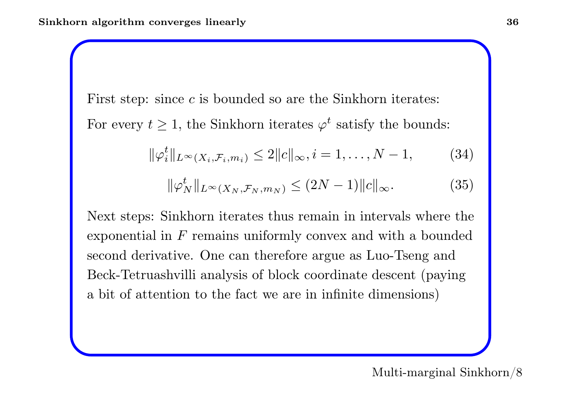First step: since  $c$  is bounded so are the Sinkhorn iterates:

For every  $t \geq 1$ , the Sinkhorn iterates  $\varphi^t$  satisfy the bounds:

$$
\|\varphi_i^t\|_{L^{\infty}(X_i,\mathcal{F}_i,m_i)} \le 2\|c\|_{\infty}, i=1,\ldots,N-1,
$$
 (34)

$$
\|\varphi_N^t\|_{L^\infty(X_N, \mathcal{F}_N, m_N)} \le (2N-1) \|c\|_{\infty}.
$$
 (35)

Next steps: Sinkhorn iterates thus remain in intervals where the exponential in  $F$  remains uniformly convex and with a bounded second derivative. One can therefore argue as Luo-Tseng and Beck-Tetruashvilli analysis of block coordinate descent (paying <sup>a</sup> bit of attention to the fact we are in infinite dimensions)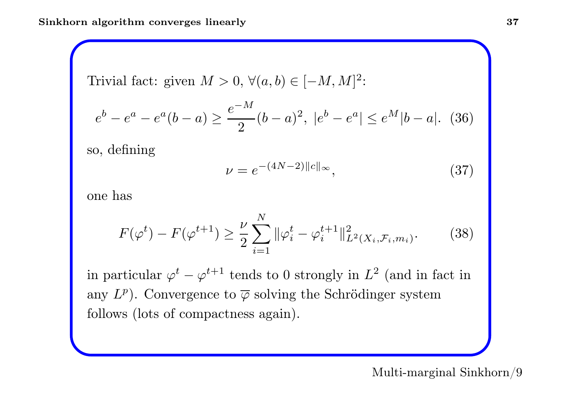Trivial fact: given  $M > 0$ ,  $\forall (a, b) \in [-M, M]^2$ :

$$
e^{b} - e^{a} - e^{a}(b - a) \ge \frac{e^{-M}}{2}(b - a)^{2}, \ |e^{b} - e^{a}| \le e^{M}|b - a|. \tag{36}
$$

so, defining

$$
\nu = e^{-(4N-2)\|c\|_{\infty}},\tag{37}
$$

one has

$$
F(\varphi^t) - F(\varphi^{t+1}) \ge \frac{\nu}{2} \sum_{i=1}^N \|\varphi_i^t - \varphi_i^{t+1}\|_{L^2(X_i, \mathcal{F}_i, m_i)}^2.
$$
 (38)

in particular  $\varphi^t - \varphi^{t+1}$  tends to 0 strongly in  $L^2$  (and in fact in any  $L^p$ ). Convergence to  $\overline{\varphi}$  solving the Schrödinger system follows (lots of compactness again).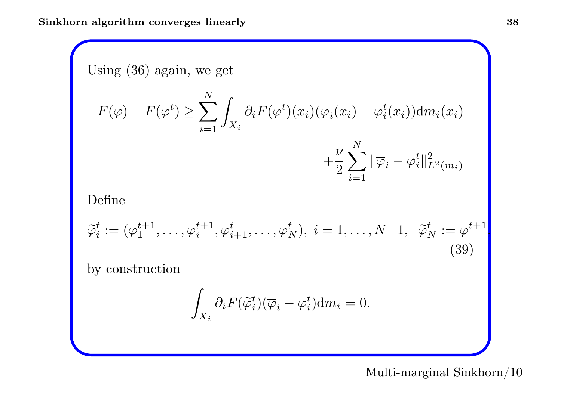Using (36) again, we get

$$
F(\overline{\varphi}) - F(\varphi^t) \ge \sum_{i=1}^N \int_{X_i} \partial_i F(\varphi^t)(x_i) (\overline{\varphi}_i(x_i) - \varphi_i^t(x_i)) dm_i(x_i) + \frac{\nu}{2} \sum_{i=1}^N \|\overline{\varphi}_i - \varphi_i^t\|_{L^2(m_i)}^2
$$

Define

$$
\widetilde{\varphi}_i^t := (\varphi_1^{t+1}, \dots, \varphi_i^{t+1}, \varphi_{i+1}^t, \dots, \varphi_N^t), \ i = 1, \dots, N-1, \ \ \widetilde{\varphi}_N^t := \varphi^{t+1},
$$
\n(39)

 $i{=}1$ 

by construction

$$
\int_{X_i} \partial_i F(\widetilde{\varphi}_i^t) (\overline{\varphi}_i - \varphi_i^t) \mathrm{d} m_i = 0.
$$

Multi-marginal Sinkhorn/10

 $L^2(m_i)$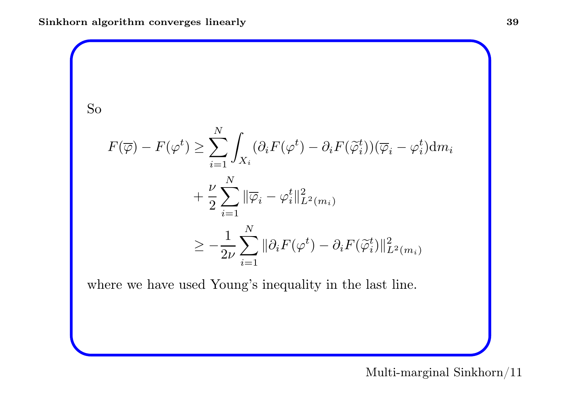So  
\n
$$
F(\overline{\varphi}) - F(\varphi^t) \ge \sum_{i=1}^N \int_{X_i} (\partial_i F(\varphi^t) - \partial_i F(\widetilde{\varphi}_i^t))(\overline{\varphi}_i - \varphi_i^t) dm_i
$$
\n
$$
+ \frac{\nu}{2} \sum_{i=1}^N \|\overline{\varphi}_i - \varphi_i^t\|_{L^2(m_i)}^2
$$
\n
$$
\ge -\frac{1}{2\nu} \sum_{i=1}^N \|\partial_i F(\varphi^t) - \partial_i F(\widetilde{\varphi}_i^t)\|_{L^2(m_i)}^2
$$

where we have used Young's inequality in the last line.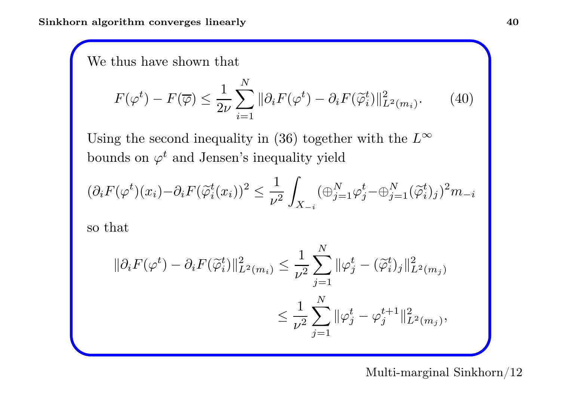We thus have shown that

$$
F(\varphi^t) - F(\overline{\varphi}) \le \frac{1}{2\nu} \sum_{i=1}^N \|\partial_i F(\varphi^t) - \partial_i F(\widetilde{\varphi}_i^t)\|_{L^2(m_i)}^2. \tag{40}
$$

Using the second inequality in (36) together with the  $L^{\infty}$ bounds on  $\varphi^t$  and Jensen's inequality yield

$$
(\partial_i F(\varphi^t)(x_i) - \partial_i F(\widetilde{\varphi}_i^t(x_i))^2 \le \frac{1}{\nu^2} \int_{X_{-i}} (\oplus_{j=1}^N \varphi_j^t - \oplus_{j=1}^N (\widetilde{\varphi}_i^t)_j)^2 m_{-i}
$$

so that

$$
\|\partial_i F(\varphi^t) - \partial_i F(\tilde{\varphi}_i^t)\|_{L^2(m_i)}^2 \le \frac{1}{\nu^2} \sum_{j=1}^N \|\varphi_j^t - (\tilde{\varphi}_i^t)_j\|_{L^2(m_j)}^2
$$
  

$$
\le \frac{1}{\nu^2} \sum_{j=1}^N \|\varphi_j^t - \varphi_j^{t+1}\|_{L^2(m_j)}^2,
$$